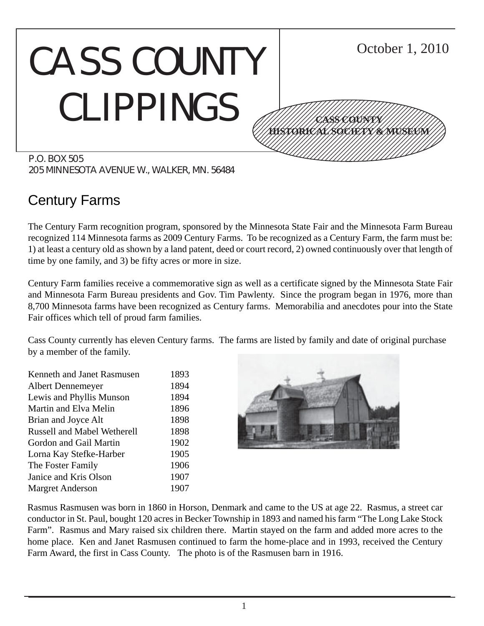#### CASS COUNTY CLIPPINGS P.O. BOX 505 October 1, 2010 12345678901234567890123456789012345678901234567890123456789012345678901234567890123456789012345678901234567890 12345678901234567890123456789012123456789012345 12345678901234567890123456789012123456789012345 12345678901234567890123456789012123456789012345 12345678901234567890123456789012123456789012345 12345678901234567890123456789012123456789012345 12345678901234567890123456789012123456789012345 1234 The Territorial Contract in the Contract of the Contract of the Contract of the Contract of the Contract 12345678901234567890123456789012345678901234567890123456789012345678901234567890123456789012345678901234567890 **CASS COUNTY HISTORICAL SOCIETY & MUSEUM**

205 MINNESOTA AVENUE W., WALKER, MN. 56484

# Century Farms

The Century Farm recognition program, sponsored by the Minnesota State Fair and the Minnesota Farm Bureau recognized 114 Minnesota farms as 2009 Century Farms. To be recognized as a Century Farm, the farm must be: 1) at least a century old as shown by a land patent, deed or court record, 2) owned continuously over that length of time by one family, and 3) be fifty acres or more in size.

Century Farm families receive a commemorative sign as well as a certificate signed by the Minnesota State Fair and Minnesota Farm Bureau presidents and Gov. Tim Pawlenty. Since the program began in 1976, more than 8,700 Minnesota farms have been recognized as Century farms. Memorabilia and anecdotes pour into the State Fair offices which tell of proud farm families.

Cass County currently has eleven Century farms. The farms are listed by family and date of original purchase by a member of the family.

Kenneth and Janet Rasmusen 1893 Albert Dennemeyer 1894 Lewis and Phyllis Munson 1894 Martin and Elva Melin 1896 Brian and Joyce Alt 1898 Russell and Mabel Wetherell 1898 Gordon and Gail Martin 1902 Lorna Kay Stefke-Harber 1905 The Foster Family 1906 Janice and Kris Olson 1907 Margret Anderson 1907



Rasmus Rasmusen was born in 1860 in Horson, Denmark and came to the US at age 22. Rasmus, a street car conductor in St. Paul, bought 120 acres in Becker Township in 1893 and named his farm "The Long Lake Stock Farm". Rasmus and Mary raised six children there. Martin stayed on the farm and added more acres to the home place. Ken and Janet Rasmusen continued to farm the home-place and in 1993, received the Century Farm Award, the first in Cass County. The photo is of the Rasmusen barn in 1916.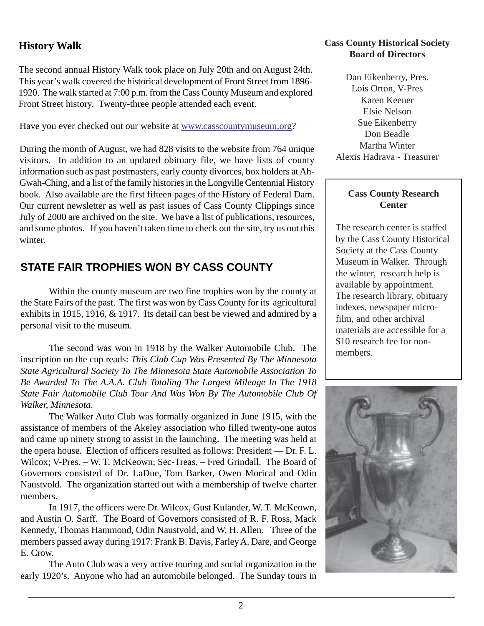# **History Walk**

The second annual History Walk took place on July 20th and on August 24th. This year's walk covered the historical development of Front Street from 1896- 1920. The walk started at 7:00 p.m. from the Cass County Museum and explored Front Street history. Twenty-three people attended each event.

Have you ever checked out our website at www.casscountymuseum.org?

During the month of August, we had 828 visits to the website from 764 unique visitors. In addition to an updated obituary file, we have lists of county information such as past postmasters, early county divorces, box holders at Ah-Gwah-Ching, and a list of the family histories in the Longville Centennial History book. Also available are the first fifteen pages of the History of Federal Dam. Our current newsletter as well as past issues of Cass County Clippings since July of 2000 are archived on the site. We have a list of publications, resources, and some photos. If you haven't taken time to check out the site, try us out this winter.

# **STATE FAIR TROPHIES WON BY CASS COUNTY**

Within the county museum are two fine trophies won by the county at the State Fairs of the past. The first was won by Cass County for its agricultural exhibits in 1915, 1916, & 1917. Its detail can best be viewed and admired by a personal visit to the museum.

The second was won in 1918 by the Walker Automobile Club. The inscription on the cup reads: *This Club Cup Was Presented By The Minnesota State Agricultural Society To The Minnesota State Automobile Association To Be Awarded To The A.A.A. Club Totaling The Largest Mileage In The 1918 State Fair Automobile Club Tour And Was Won By The Automobile Club Of Walker, Minnesota.*

The Walker Auto Club was formally organized in June 1915, with the assistance of members of the Akeley association who filled twenty-one autos and came up ninety strong to assist in the launching. The meeting was held at the opera house. Election of officers resulted as follows: President — Dr. F. L. Wilcox; V-Pres. – W. T. McKeown; Sec-Treas. – Fred Grindall. The Board of Governors consisted of Dr. LaDue, Tom Barker, Owen Morical and Odin Naustvold. The organization started out with a membership of twelve charter members.

In 1917, the officers were Dr. Wilcox, Gust Kulander, W. T. McKeown, and Austin O. Sarff. The Board of Governors consisted of R. F. Ross, Mack Kennedy, Thomas Hammond, Odin Naustvold, and W. H. Allen. Three of the members passed away during 1917: Frank B. Davis, Farley A. Dare, and George E. Crow.

The Auto Club was a very active touring and social organization in the early 1920's. Anyone who had an automobile belonged. The Sunday tours in

#### **Cass County Historical Society Board of Directors**

Dan Eikenberry, Pres. Lois Orton, V-Pres Karen Keener Elsie Nelson Sue Eikenberry Don Beadle Martha Winter Alexis Hadrava - Treasurer

#### **Cass County Research Center**

The research center is staffed by the Cass County Historical Society at the Cass County Museum in Walker. Through the winter, research help is available by appointment. The research library, obituary indexes, newspaper microfilm, and other archival materials are accessible for a \$10 research fee for nonmembers.

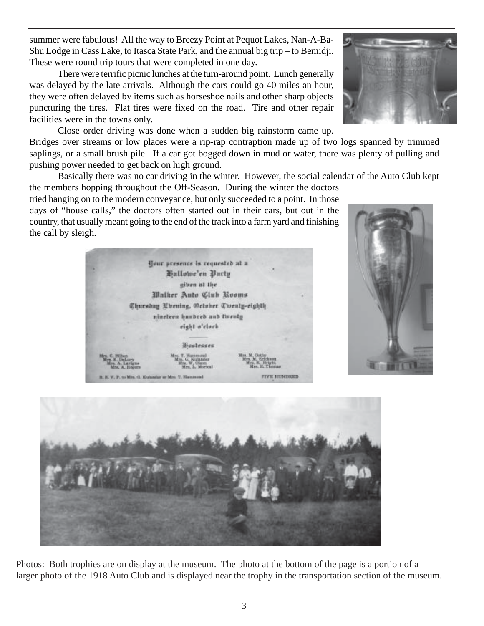summer were fabulous! All the way to Breezy Point at Pequot Lakes, Nan-A-Ba-Shu Lodge in Cass Lake, to Itasca State Park, and the annual big trip – to Bemidji. These were round trip tours that were completed in one day.

There were terrific picnic lunches at the turn-around point. Lunch generally was delayed by the late arrivals. Although the cars could go 40 miles an hour, they were often delayed by items such as horseshoe nails and other sharp objects puncturing the tires. Flat tires were fixed on the road. Tire and other repair facilities were in the towns only.

Close order driving was done when a sudden big rainstorm came up. Bridges over streams or low places were a rip-rap contraption made up of two logs spanned by trimmed saplings, or a small brush pile. If a car got bogged down in mud or water, there was plenty of pulling and pushing power needed to get back on high ground.

Basically there was no car driving in the winter. However, the social calendar of the Auto Club kept

the members hopping throughout the Off-Season. During the winter the doctors tried hanging on to the modern conveyance, but only succeeded to a point. In those days of "house calls," the doctors often started out in their cars, but out in the country, that usually meant going to the end of the track into a farm yard and finishing the call by sleigh.

> <u>Pour presence is requested ut n</u> Hallowe'en Party giben at the Malker Auto Club Rooms

nineteen hundred and twenty eight o'clock

**Mastesses** 

Photos: Both trophies are on display at the museum. The photo at the bottom of the page is a portion of a larger photo of the 1918 Auto Club and is displayed near the trophy in the transportation section of the museum.







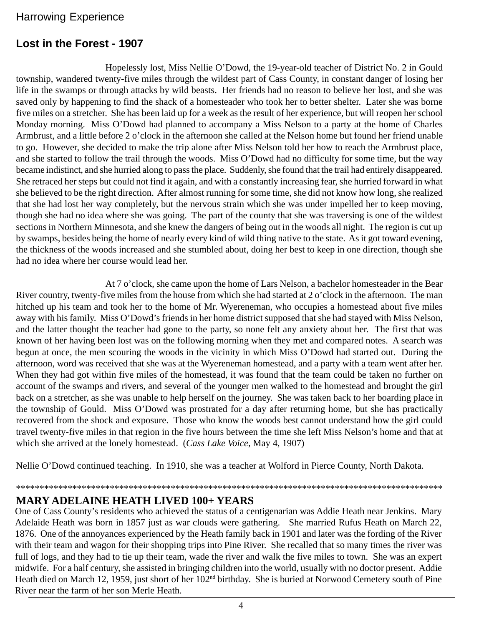# Harrowing Experience

# **Lost in the Forest - 1907**

Hopelessly lost, Miss Nellie O'Dowd, the 19-year-old teacher of District No. 2 in Gould township, wandered twenty-five miles through the wildest part of Cass County, in constant danger of losing her life in the swamps or through attacks by wild beasts. Her friends had no reason to believe her lost, and she was saved only by happening to find the shack of a homesteader who took her to better shelter. Later she was borne five miles on a stretcher. She has been laid up for a week as the result of her experience, but will reopen her school Monday morning. Miss O'Dowd had planned to accompany a Miss Nelson to a party at the home of Charles Armbrust, and a little before 2 o'clock in the afternoon she called at the Nelson home but found her friend unable to go. However, she decided to make the trip alone after Miss Nelson told her how to reach the Armbrust place, and she started to follow the trail through the woods. Miss O'Dowd had no difficulty for some time, but the way became indistinct, and she hurried along to pass the place. Suddenly, she found that the trail had entirely disappeared. She retraced her steps but could not find it again, and with a constantly increasing fear, she hurried forward in what she believed to be the right direction. After almost running for some time, she did not know how long, she realized that she had lost her way completely, but the nervous strain which she was under impelled her to keep moving, though she had no idea where she was going. The part of the county that she was traversing is one of the wildest sections in Northern Minnesota, and she knew the dangers of being out in the woods all night. The region is cut up by swamps, besides being the home of nearly every kind of wild thing native to the state. As it got toward evening, the thickness of the woods increased and she stumbled about, doing her best to keep in one direction, though she had no idea where her course would lead her.

At 7 o'clock, she came upon the home of Lars Nelson, a bachelor homesteader in the Bear River country, twenty-five miles from the house from which she had started at 2 o'clock in the afternoon. The man hitched up his team and took her to the home of Mr. Wyereneman, who occupies a homestead about five miles away with his family. Miss O'Dowd's friends in her home district supposed that she had stayed with Miss Nelson, and the latter thought the teacher had gone to the party, so none felt any anxiety about her. The first that was known of her having been lost was on the following morning when they met and compared notes. A search was begun at once, the men scouring the woods in the vicinity in which Miss O'Dowd had started out. During the afternoon, word was received that she was at the Wyereneman homestead, and a party with a team went after her. When they had got within five miles of the homestead, it was found that the team could be taken no further on account of the swamps and rivers, and several of the younger men walked to the homestead and brought the girl back on a stretcher, as she was unable to help herself on the journey. She was taken back to her boarding place in the township of Gould. Miss O'Dowd was prostrated for a day after returning home, but she has practically recovered from the shock and exposure. Those who know the woods best cannot understand how the girl could travel twenty-five miles in that region in the five hours between the time she left Miss Nelson's home and that at which she arrived at the lonely homestead. (*Cass Lake Voice*, May 4, 1907)

Nellie O'Dowd continued teaching. In 1910, she was a teacher at Wolford in Pierce County, North Dakota.

\*\*\*\*\*\*\*\*\*\*\*\*\*\*\*\*\*\*\*\*\*\*\*\*\*\*\*\*\*\*\*\*\*\*\*\*\*\*\*\*\*\*\*\*\*\*\*\*\*\*\*\*\*\*\*\*\*\*\*\*\*\*\*\*\*\*\*\*\*\*\*\*\*\*\*\*\*\*\*\*\*\*\*\*\*\*\*\*\*\*\*

# **MARY ADELAINE HEATH LIVED 100+ YEARS**

One of Cass County's residents who achieved the status of a centigenarian was Addie Heath near Jenkins. Mary Adelaide Heath was born in 1857 just as war clouds were gathering. She married Rufus Heath on March 22, 1876. One of the annoyances experienced by the Heath family back in 1901 and later was the fording of the River with their team and wagon for their shopping trips into Pine River. She recalled that so many times the river was full of logs, and they had to tie up their team, wade the river and walk the five miles to town. She was an expert midwife. For a half century, she assisted in bringing children into the world, usually with no doctor present. Addie Heath died on March 12, 1959, just short of her 102<sup>nd</sup> birthday. She is buried at Norwood Cemetery south of Pine River near the farm of her son Merle Heath.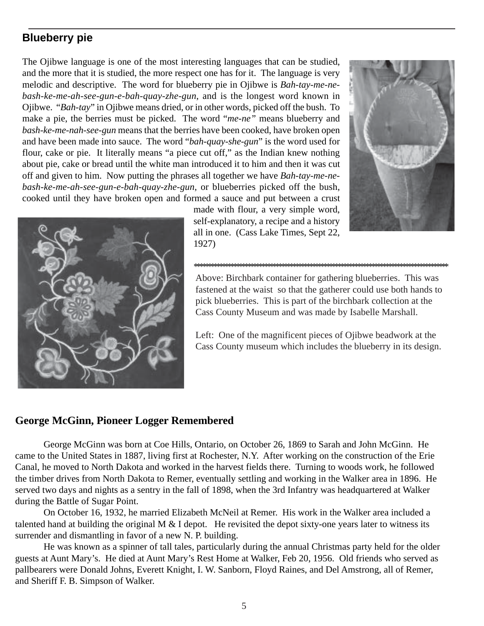# **Blueberry pie**

The Ojibwe language is one of the most interesting languages that can be studied, and the more that it is studied, the more respect one has for it. The language is very melodic and descriptive. The word for blueberry pie in Ojibwe is *Bah-tay-me-nebash-ke-me-ah-see-gun-e-bah-quay-zhe-gun*, and is the longest word known in Ojibwe. "*Bah-tay*" in Ojibwe means dried, or in other words, picked off the bush. To make a pie, the berries must be picked. The word "*me-ne"* means blueberry and *bash-ke-me-nah-see-gun* means that the berries have been cooked, have broken open and have been made into sauce. The word "*bah-quay-she-gun*" is the word used for flour, cake or pie. It literally means "a piece cut off," as the Indian knew nothing about pie, cake or bread until the white man introduced it to him and then it was cut off and given to him. Now putting the phrases all together we have *Bah-tay-me-nebash-ke-me-ah-see-gun-e-bah-quay-zhe-gun*, or blueberries picked off the bush, cooked until they have broken open and formed a sauce and put between a crust

> made with flour, a very simple word, self-explanatory, a recipe and a history all in one. (Cass Lake Times, Sept 22, 1927)





Above: Birchbark container for gathering blueberries. This was fastened at the waist so that the gatherer could use both hands to pick blueberries. This is part of the birchbark collection at the Cass County Museum and was made by Isabelle Marshall.

\*\*\*\*\*\*\*\*\*\*\*\*\*\*\*\*\*\*\*\*\*\*\*\*\*\*\*\*\*\*\*\*\*\*\*\*\*\*\*\*\*\*\*\*\*\*\*\*\*\*\*\*\*\*\*\*\*\*\*\*\*\*\*\*\*\*\*\*\*\*\*\*\*\*\*\*\*\*\*\*\*\*\*\*\*\*\*\*\*\*

Left: One of the magnificent pieces of Ojibwe beadwork at the Cass County museum which includes the blueberry in its design.

#### **George McGinn, Pioneer Logger Remembered**

George McGinn was born at Coe Hills, Ontario, on October 26, 1869 to Sarah and John McGinn. He came to the United States in 1887, living first at Rochester, N.Y. After working on the construction of the Erie Canal, he moved to North Dakota and worked in the harvest fields there. Turning to woods work, he followed the timber drives from North Dakota to Remer, eventually settling and working in the Walker area in 1896. He served two days and nights as a sentry in the fall of 1898, when the 3rd Infantry was headquartered at Walker during the Battle of Sugar Point.

On October 16, 1932, he married Elizabeth McNeil at Remer. His work in the Walker area included a talented hand at building the original M  $&$  I depot. He revisited the depot sixty-one years later to witness its surrender and dismantling in favor of a new N. P. building.

He was known as a spinner of tall tales, particularly during the annual Christmas party held for the older guests at Aunt Mary's. He died at Aunt Mary's Rest Home at Walker, Feb 20, 1956. Old friends who served as pallbearers were Donald Johns, Everett Knight, I. W. Sanborn, Floyd Raines, and Del Amstrong, all of Remer, and Sheriff F. B. Simpson of Walker.